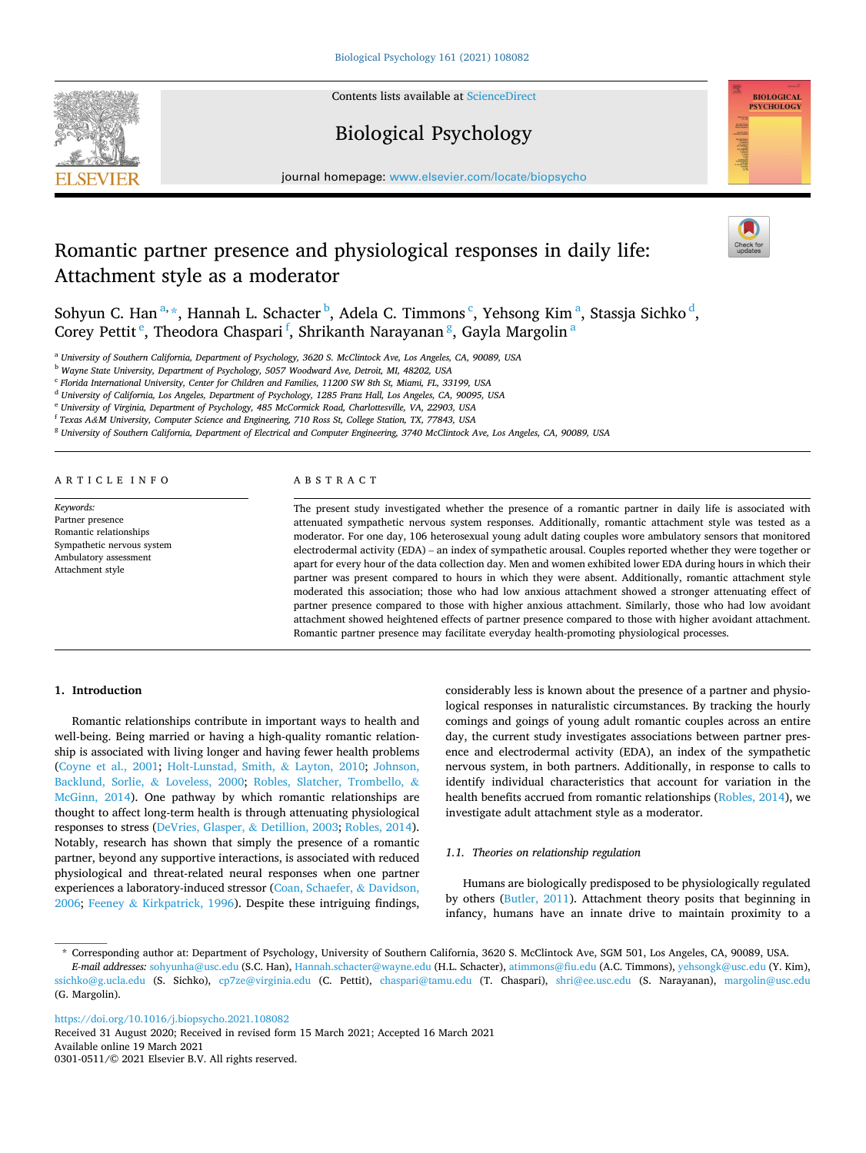

Contents lists available at [ScienceDirect](www.sciencedirect.com/science/journal/03010511)

# Biological Psychology



journal homepage: [www.elsevier.com/locate/biopsycho](https://www.elsevier.com/locate/biopsycho) 

# Romantic partner presence and physiological responses in daily life: Attachment style as a moderator



Sohyun C. Han $^{a,\,\star}$ , Hannah L. Schacter $^{\rm b}$ , Adela C. Timmons $^{\rm c}$ , Yehsong Kim $^{\rm a}$ , Stassja Sichko $^{\rm d}$ , Corey Pettit<sup>e</sup>, Theodora Chaspari<sup>f</sup>, Shrikanth Narayanan<sup>g</sup>, Gayla Margolin<sup>a</sup>

<sup>a</sup> *University of Southern California, Department of Psychology, 3620 S. McClintock Ave, Los Angeles, CA, 90089, USA* 

<sup>b</sup> *Wayne State University, Department of Psychology, 5057 Woodward Ave, Detroit, MI, 48202, USA* 

<sup>c</sup> *Florida International University, Center for Children and Families, 11200 SW 8th St, Miami, FL, 33199, USA* 

<sup>d</sup> *University of California, Los Angeles, Department of Psychology, 1285 Franz Hall, Los Angeles, CA, 90095, USA* 

<sup>e</sup> *University of Virginia, Department of Psychology, 485 McCormick Road, Charlottesville, VA, 22903, USA* 

<sup>f</sup> *Texas A&M University, Computer Science and Engineering, 710 Ross St, College Station, TX, 77843, USA* 

<sup>g</sup> *University of Southern California, Department of Electrical and Computer Engineering, 3740 McClintock Ave, Los Angeles, CA, 90089, USA* 

ARTICLE INFO

*Keywords:*  Partner presence Romantic relationships Sympathetic nervous system Ambulatory assessment Attachment style

# ABSTRACT

The present study investigated whether the presence of a romantic partner in daily life is associated with attenuated sympathetic nervous system responses. Additionally, romantic attachment style was tested as a moderator. For one day, 106 heterosexual young adult dating couples wore ambulatory sensors that monitored electrodermal activity (EDA) – an index of sympathetic arousal. Couples reported whether they were together or apart for every hour of the data collection day. Men and women exhibited lower EDA during hours in which their partner was present compared to hours in which they were absent. Additionally, romantic attachment style moderated this association; those who had low anxious attachment showed a stronger attenuating effect of partner presence compared to those with higher anxious attachment. Similarly, those who had low avoidant attachment showed heightened effects of partner presence compared to those with higher avoidant attachment. Romantic partner presence may facilitate everyday health-promoting physiological processes.

## **1. Introduction**

Romantic relationships contribute in important ways to health and well-being. Being married or having a high-quality romantic relationship is associated with living longer and having fewer health problems ([Coyne et al., 2001](#page-6-0); [Holt-Lunstad, Smith,](#page-7-0) & Layton, 2010; [Johnson,](#page-7-0)  [Backlund, Sorlie,](#page-7-0) & Loveless, 2000; [Robles, Slatcher, Trombello,](#page-7-0) & [McGinn, 2014\)](#page-7-0). One pathway by which romantic relationships are thought to affect long-term health is through attenuating physiological responses to stress ([DeVries, Glasper,](#page-6-0) & Detillion, 2003; [Robles, 2014](#page-7-0)). Notably, research has shown that simply the presence of a romantic partner, beyond any supportive interactions, is associated with reduced physiological and threat-related neural responses when one partner experiences a laboratory-induced stressor ([Coan, Schaefer,](#page-6-0) & Davidson, [2006;](#page-6-0) Feeney & [Kirkpatrick, 1996](#page-7-0)). Despite these intriguing findings,

considerably less is known about the presence of a partner and physiological responses in naturalistic circumstances. By tracking the hourly comings and goings of young adult romantic couples across an entire day, the current study investigates associations between partner presence and electrodermal activity (EDA), an index of the sympathetic nervous system, in both partners. Additionally, in response to calls to identify individual characteristics that account for variation in the health benefits accrued from romantic relationships [\(Robles, 2014](#page-7-0)), we investigate adult attachment style as a moderator.

## *1.1. Theories on relationship regulation*

Humans are biologically predisposed to be physiologically regulated by others ([Butler, 2011\)](#page-6-0). Attachment theory posits that beginning in infancy, humans have an innate drive to maintain proximity to a

<https://doi.org/10.1016/j.biopsycho.2021.108082>

Available online 19 March 2021 0301-0511/© 2021 Elsevier B.V. All rights reserved. Received 31 August 2020; Received in revised form 15 March 2021; Accepted 16 March 2021

<sup>\*</sup> Corresponding author at: Department of Psychology, University of Southern California, 3620 S. McClintock Ave, SGM 501, Los Angeles, CA, 90089, USA.

*E-mail addresses:* [sohyunha@usc.edu](mailto:sohyunha@usc.edu) (S.C. Han), [Hannah.schacter@wayne.edu](mailto:Hannah.schacter@wayne.edu) (H.L. Schacter), [atimmons@fiu.edu](mailto:atimmons@fiu.edu) (A.C. Timmons), [yehsongk@usc.edu](mailto:yehsongk@usc.edu) (Y. Kim), [ssichko@g.ucla.edu](mailto:ssichko@g.ucla.edu) (S. Sichko), [cp7ze@virginia.edu](mailto:cp7ze@virginia.edu) (C. Pettit), [chaspari@tamu.edu](mailto:chaspari@tamu.edu) (T. Chaspari), [shri@ee.usc.edu](mailto:shri@ee.usc.edu) (S. Narayanan), margolin@usc.edu (G. Margolin).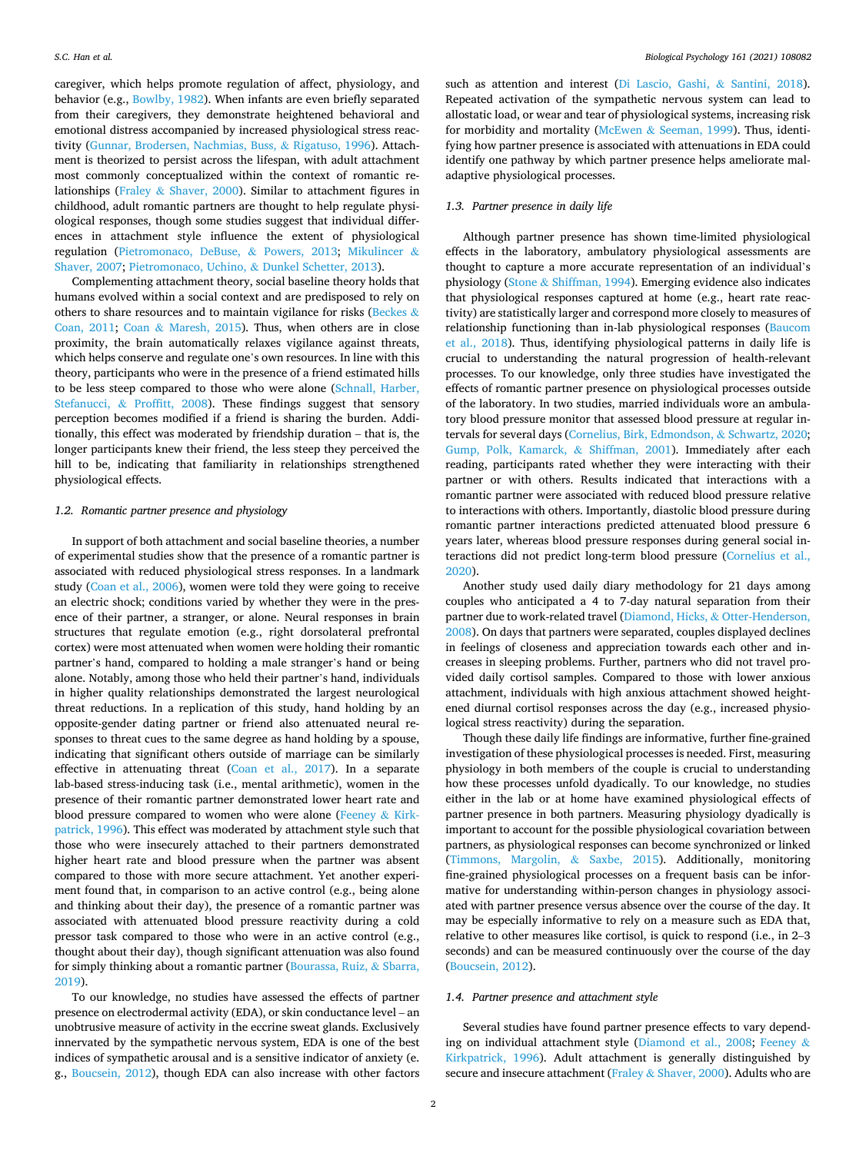caregiver, which helps promote regulation of affect, physiology, and behavior (e.g., [Bowlby, 1982](#page-6-0)). When infants are even briefly separated from their caregivers, they demonstrate heightened behavioral and emotional distress accompanied by increased physiological stress reactivity ([Gunnar, Brodersen, Nachmias, Buss,](#page-7-0) & Rigatuso, 1996). Attachment is theorized to persist across the lifespan, with adult attachment most commonly conceptualized within the context of romantic relationships (Fraley & [Shaver, 2000](#page-7-0)). Similar to attachment figures in childhood, adult romantic partners are thought to help regulate physiological responses, though some studies suggest that individual differences in attachment style influence the extent of physiological regulation ([Pietromonaco, DeBuse,](#page-7-0) & Powers, 2013; [Mikulincer](#page-7-0) & [Shaver, 2007](#page-7-0); [Pietromonaco, Uchino,](#page-7-0) & Dunkel Schetter, 2013).

Complementing attachment theory, social baseline theory holds that humans evolved within a social context and are predisposed to rely on others to share resources and to maintain vigilance for risks [\(Beckes](#page-6-0)  $\&$ [Coan, 2011](#page-6-0); Coan & [Maresh, 2015](#page-6-0)). Thus, when others are in close proximity, the brain automatically relaxes vigilance against threats, which helps conserve and regulate one's own resources. In line with this theory, participants who were in the presence of a friend estimated hills to be less steep compared to those who were alone ([Schnall, Harber,](#page-7-0)  Stefanucci, & [Proffitt, 2008\)](#page-7-0). These findings suggest that sensory perception becomes modified if a friend is sharing the burden. Additionally, this effect was moderated by friendship duration – that is, the longer participants knew their friend, the less steep they perceived the hill to be, indicating that familiarity in relationships strengthened physiological effects.

#### *1.2. Romantic partner presence and physiology*

In support of both attachment and social baseline theories, a number of experimental studies show that the presence of a romantic partner is associated with reduced physiological stress responses. In a landmark study [\(Coan et al., 2006\)](#page-6-0), women were told they were going to receive an electric shock; conditions varied by whether they were in the presence of their partner, a stranger, or alone. Neural responses in brain structures that regulate emotion (e.g., right dorsolateral prefrontal cortex) were most attenuated when women were holding their romantic partner's hand, compared to holding a male stranger's hand or being alone. Notably, among those who held their partner's hand, individuals in higher quality relationships demonstrated the largest neurological threat reductions. In a replication of this study, hand holding by an opposite-gender dating partner or friend also attenuated neural responses to threat cues to the same degree as hand holding by a spouse, indicating that significant others outside of marriage can be similarly effective in attenuating threat [\(Coan et al., 2017\)](#page-6-0). In a separate lab-based stress-inducing task (i.e., mental arithmetic), women in the presence of their romantic partner demonstrated lower heart rate and blood pressure compared to women who were alone [\(Feeney](#page-7-0) & Kirk[patrick, 1996\)](#page-7-0). This effect was moderated by attachment style such that those who were insecurely attached to their partners demonstrated higher heart rate and blood pressure when the partner was absent compared to those with more secure attachment. Yet another experiment found that, in comparison to an active control (e.g., being alone and thinking about their day), the presence of a romantic partner was associated with attenuated blood pressure reactivity during a cold pressor task compared to those who were in an active control (e.g., thought about their day), though significant attenuation was also found for simply thinking about a romantic partner ([Bourassa, Ruiz,](#page-6-0) & Sbarra, [2019\)](#page-6-0).

To our knowledge, no studies have assessed the effects of partner presence on electrodermal activity (EDA), or skin conductance level – an unobtrusive measure of activity in the eccrine sweat glands. Exclusively innervated by the sympathetic nervous system, EDA is one of the best indices of sympathetic arousal and is a sensitive indicator of anxiety (e. g., [Boucsein, 2012](#page-6-0)), though EDA can also increase with other factors

such as attention and interest ([Di Lascio, Gashi,](#page-6-0) & Santini, 2018). Repeated activation of the sympathetic nervous system can lead to allostatic load, or wear and tear of physiological systems, increasing risk for morbidity and mortality (McEwen & [Seeman, 1999](#page-7-0)). Thus, identifying how partner presence is associated with attenuations in EDA could identify one pathway by which partner presence helps ameliorate maladaptive physiological processes.

## *1.3. Partner presence in daily life*

Although partner presence has shown time-limited physiological effects in the laboratory, ambulatory physiological assessments are thought to capture a more accurate representation of an individual's physiology (Stone & [Shiffman, 1994\)](#page-7-0). Emerging evidence also indicates that physiological responses captured at home (e.g., heart rate reactivity) are statistically larger and correspond more closely to measures of relationship functioning than in-lab physiological responses [\(Baucom](#page-6-0)  [et al., 2018](#page-6-0)). Thus, identifying physiological patterns in daily life is crucial to understanding the natural progression of health-relevant processes. To our knowledge, only three studies have investigated the effects of romantic partner presence on physiological processes outside of the laboratory. In two studies, married individuals wore an ambulatory blood pressure monitor that assessed blood pressure at regular intervals for several days [\(Cornelius, Birk, Edmondson,](#page-6-0) & Schwartz, 2020; [Gump, Polk, Kamarck,](#page-7-0) & Shiffman, 2001). Immediately after each reading, participants rated whether they were interacting with their partner or with others. Results indicated that interactions with a romantic partner were associated with reduced blood pressure relative to interactions with others. Importantly, diastolic blood pressure during romantic partner interactions predicted attenuated blood pressure 6 years later, whereas blood pressure responses during general social interactions did not predict long-term blood pressure ([Cornelius et al.,](#page-6-0)  [2020\)](#page-6-0).

Another study used daily diary methodology for 21 days among couples who anticipated a 4 to 7-day natural separation from their partner due to work-related travel (Diamond, Hicks, & [Otter-Henderson,](#page-6-0)  [2008\)](#page-6-0). On days that partners were separated, couples displayed declines in feelings of closeness and appreciation towards each other and increases in sleeping problems. Further, partners who did not travel provided daily cortisol samples. Compared to those with lower anxious attachment, individuals with high anxious attachment showed heightened diurnal cortisol responses across the day (e.g., increased physiological stress reactivity) during the separation.

Though these daily life findings are informative, further fine-grained investigation of these physiological processes is needed. First, measuring physiology in both members of the couple is crucial to understanding how these processes unfold dyadically. To our knowledge, no studies either in the lab or at home have examined physiological effects of partner presence in both partners. Measuring physiology dyadically is important to account for the possible physiological covariation between partners, as physiological responses can become synchronized or linked ([Timmons, Margolin,](#page-7-0) & Saxbe, 2015). Additionally, monitoring fine-grained physiological processes on a frequent basis can be informative for understanding within-person changes in physiology associated with partner presence versus absence over the course of the day. It may be especially informative to rely on a measure such as EDA that, relative to other measures like cortisol, is quick to respond (i.e., in 2–3 seconds) and can be measured continuously over the course of the day ([Boucsein, 2012\)](#page-6-0).

## *1.4. Partner presence and attachment style*

Several studies have found partner presence effects to vary depending on individual attachment style [\(Diamond et al., 2008](#page-6-0); [Feeney](#page-7-0) & [Kirkpatrick, 1996](#page-7-0)). Adult attachment is generally distinguished by secure and insecure attachment (Fraley & [Shaver, 2000](#page-7-0)). Adults who are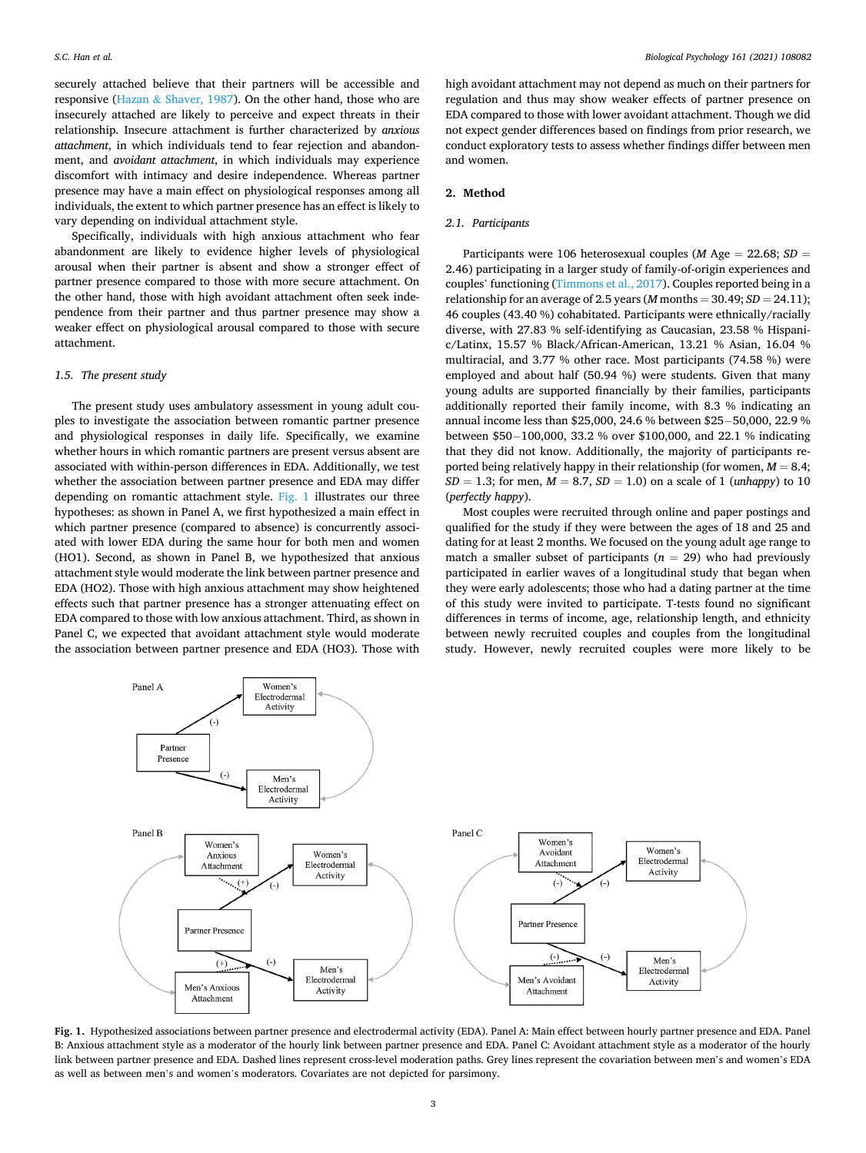securely attached believe that their partners will be accessible and responsive (Hazan & [Shaver, 1987\)](#page-7-0). On the other hand, those who are insecurely attached are likely to perceive and expect threats in their relationship. Insecure attachment is further characterized by *anxious attachment*, in which individuals tend to fear rejection and abandonment, and *avoidant attachment*, in which individuals may experience discomfort with intimacy and desire independence. Whereas partner presence may have a main effect on physiological responses among all individuals, the extent to which partner presence has an effect is likely to vary depending on individual attachment style.

Specifically, individuals with high anxious attachment who fear abandonment are likely to evidence higher levels of physiological arousal when their partner is absent and show a stronger effect of partner presence compared to those with more secure attachment. On the other hand, those with high avoidant attachment often seek independence from their partner and thus partner presence may show a weaker effect on physiological arousal compared to those with secure attachment.

#### *1.5. The present study*

The present study uses ambulatory assessment in young adult couples to investigate the association between romantic partner presence and physiological responses in daily life. Specifically, we examine whether hours in which romantic partners are present versus absent are associated with within-person differences in EDA. Additionally, we test whether the association between partner presence and EDA may differ depending on romantic attachment style. Fig. 1 illustrates our three hypotheses: as shown in Panel A, we first hypothesized a main effect in which partner presence (compared to absence) is concurrently associated with lower EDA during the same hour for both men and women (HO1). Second, as shown in Panel B, we hypothesized that anxious attachment style would moderate the link between partner presence and EDA (HO2). Those with high anxious attachment may show heightened effects such that partner presence has a stronger attenuating effect on EDA compared to those with low anxious attachment. Third, as shown in Panel C, we expected that avoidant attachment style would moderate the association between partner presence and EDA (HO3). Those with

high avoidant attachment may not depend as much on their partners for regulation and thus may show weaker effects of partner presence on EDA compared to those with lower avoidant attachment. Though we did not expect gender differences based on findings from prior research, we conduct exploratory tests to assess whether findings differ between men and women.

### **2. Method**

## *2.1. Participants*

Participants were 106 heterosexual couples (*M* Age = 22.68; *SD* = 2.46) participating in a larger study of family-of-origin experiences and couples' functioning ([Timmons et al., 2017\)](#page-7-0). Couples reported being in a relationship for an average of 2.5 years (*M* months  $=$  30.49; *SD*  $=$  24.11); 46 couples (43.40 %) cohabitated. Participants were ethnically/racially diverse, with 27.83 % self-identifying as Caucasian, 23.58 % Hispanic/Latinx, 15.57 % Black/African-American, 13.21 % Asian, 16.04 % multiracial, and 3.77 % other race. Most participants (74.58 %) were employed and about half (50.94 %) were students. Given that many young adults are supported financially by their families, participants additionally reported their family income, with 8.3 % indicating an annual income less than \$25,000, 24.6 % between \$25− 50,000, 22.9 % between \$50− 100,000, 33.2 % over \$100,000, and 22.1 % indicating that they did not know. Additionally, the majority of participants reported being relatively happy in their relationship (for women,  $M = 8.4$ ; *SD* = 1.3; for men,  $M = 8.7$ ,  $SD = 1.0$ ) on a scale of 1 (*unhappy*) to 10 (*perfectly happy*).

Most couples were recruited through online and paper postings and qualified for the study if they were between the ages of 18 and 25 and dating for at least 2 months. We focused on the young adult age range to match a smaller subset of participants ( $n = 29$ ) who had previously participated in earlier waves of a longitudinal study that began when they were early adolescents; those who had a dating partner at the time of this study were invited to participate. T-tests found no significant differences in terms of income, age, relationship length, and ethnicity between newly recruited couples and couples from the longitudinal study. However, newly recruited couples were more likely to be



**Fig. 1.** Hypothesized associations between partner presence and electrodermal activity (EDA). Panel A: Main effect between hourly partner presence and EDA. Panel B: Anxious attachment style as a moderator of the hourly link between partner presence and EDA. Panel C: Avoidant attachment style as a moderator of the hourly link between partner presence and EDA. Dashed lines represent cross-level moderation paths. Grey lines represent the covariation between men's and women's EDA as well as between men's and women's moderators. Covariates are not depicted for parsimony.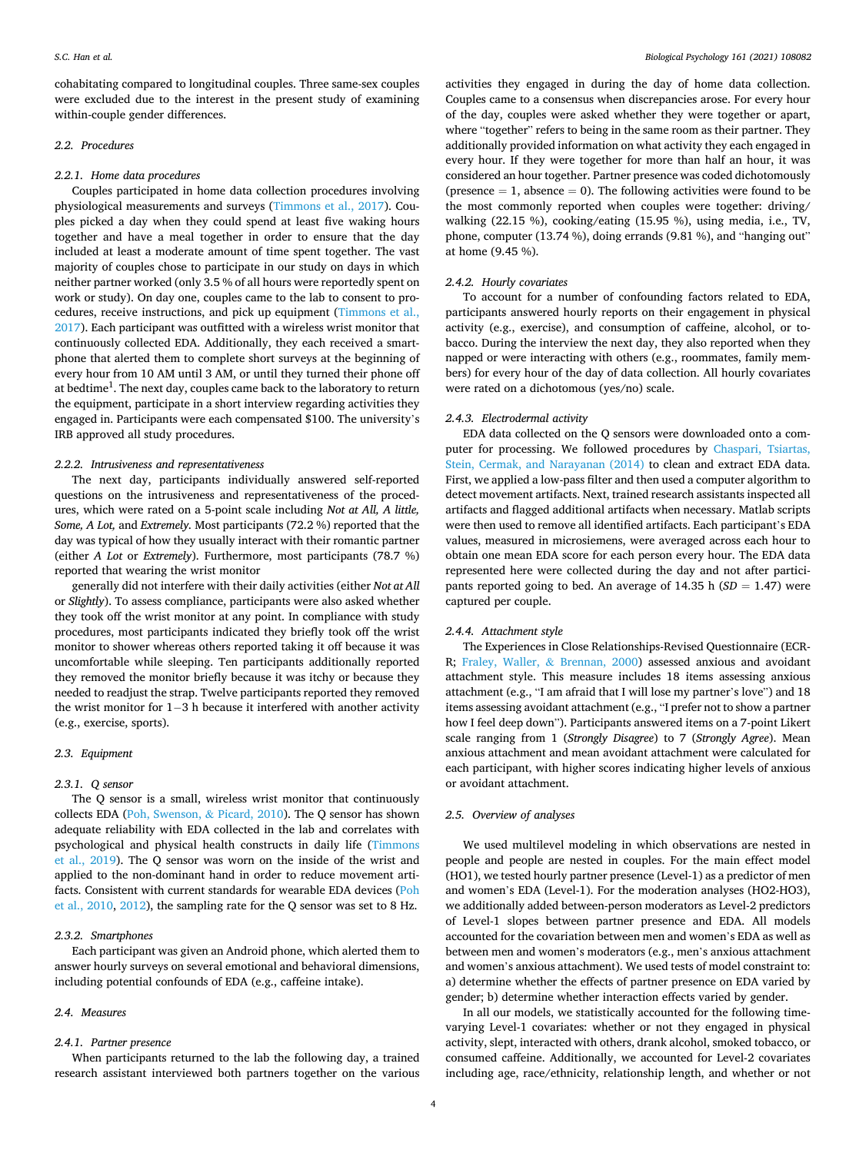cohabitating compared to longitudinal couples. Three same-sex couples were excluded due to the interest in the present study of examining within-couple gender differences.

## *2.2. Procedures*

#### *2.2.1. Home data procedures*

Couples participated in home data collection procedures involving physiological measurements and surveys ([Timmons et al., 2017](#page-7-0)). Couples picked a day when they could spend at least five waking hours together and have a meal together in order to ensure that the day included at least a moderate amount of time spent together. The vast majority of couples chose to participate in our study on days in which neither partner worked (only 3.5 % of all hours were reportedly spent on work or study). On day one, couples came to the lab to consent to procedures, receive instructions, and pick up equipment ([Timmons et al.,](#page-7-0)  [2017\)](#page-7-0). Each participant was outfitted with a wireless wrist monitor that continuously collected EDA. Additionally, they each received a smartphone that alerted them to complete short surveys at the beginning of every hour from 10 AM until 3 AM, or until they turned their phone off at bedtime $^1.$  The next day, couples came back to the laboratory to return the equipment, participate in a short interview regarding activities they engaged in. Participants were each compensated \$100. The university's IRB approved all study procedures.

## *2.2.2. Intrusiveness and representativeness*

The next day, participants individually answered self-reported questions on the intrusiveness and representativeness of the procedures, which were rated on a 5-point scale including *Not at All, A little, Some, A Lot,* and *Extremely.* Most participants (72.2 %) reported that the day was typical of how they usually interact with their romantic partner (either *A Lot* or *Extremely*). Furthermore, most participants (78.7 %) reported that wearing the wrist monitor

generally did not interfere with their daily activities (either *Not at All*  or *Slightly*). To assess compliance, participants were also asked whether they took off the wrist monitor at any point. In compliance with study procedures, most participants indicated they briefly took off the wrist monitor to shower whereas others reported taking it off because it was uncomfortable while sleeping. Ten participants additionally reported they removed the monitor briefly because it was itchy or because they needed to readjust the strap. Twelve participants reported they removed the wrist monitor for 1–3 h because it interfered with another activity (e.g., exercise, sports).

## *2.3. Equipment*

## *2.3.1. Q sensor*

The Q sensor is a small, wireless wrist monitor that continuously collects EDA [\(Poh, Swenson,](#page-7-0) & Picard, 2010). The Q sensor has shown adequate reliability with EDA collected in the lab and correlates with psychological and physical health constructs in daily life ([Timmons](#page-7-0)  [et al., 2019\)](#page-7-0). The Q sensor was worn on the inside of the wrist and applied to the non-dominant hand in order to reduce movement artifacts. Consistent with current standards for wearable EDA devices [\(Poh](#page-7-0)  [et al., 2010, 2012](#page-7-0)), the sampling rate for the Q sensor was set to 8 Hz.

## *2.3.2. Smartphones*

Each participant was given an Android phone, which alerted them to answer hourly surveys on several emotional and behavioral dimensions, including potential confounds of EDA (e.g., caffeine intake).

## *2.4. Measures*

#### *2.4.1. Partner presence*

When participants returned to the lab the following day, a trained research assistant interviewed both partners together on the various activities they engaged in during the day of home data collection. Couples came to a consensus when discrepancies arose. For every hour of the day, couples were asked whether they were together or apart, where "together" refers to being in the same room as their partner. They additionally provided information on what activity they each engaged in every hour. If they were together for more than half an hour, it was considered an hour together. Partner presence was coded dichotomously (presence  $= 1$ , absence  $= 0$ ). The following activities were found to be the most commonly reported when couples were together: driving/ walking (22.15 %), cooking/eating (15.95 %), using media, i.e., TV, phone, computer (13.74 %), doing errands (9.81 %), and "hanging out" at home (9.45 %).

#### *2.4.2. Hourly covariates*

To account for a number of confounding factors related to EDA, participants answered hourly reports on their engagement in physical activity (e.g., exercise), and consumption of caffeine, alcohol, or tobacco. During the interview the next day, they also reported when they napped or were interacting with others (e.g., roommates, family members) for every hour of the day of data collection. All hourly covariates were rated on a dichotomous (yes/no) scale.

## *2.4.3. Electrodermal activity*

EDA data collected on the Q sensors were downloaded onto a computer for processing. We followed procedures by [Chaspari, Tsiartas,](#page-6-0)  [Stein, Cermak, and Narayanan \(2014\)](#page-6-0) to clean and extract EDA data. First, we applied a low-pass filter and then used a computer algorithm to detect movement artifacts. Next, trained research assistants inspected all artifacts and flagged additional artifacts when necessary. Matlab scripts were then used to remove all identified artifacts. Each participant's EDA values, measured in microsiemens, were averaged across each hour to obtain one mean EDA score for each person every hour. The EDA data represented here were collected during the day and not after participants reported going to bed. An average of  $14.35$  h ( $SD = 1.47$ ) were captured per couple.

## *2.4.4. Attachment style*

The Experiences in Close Relationships-Revised Questionnaire (ECR-R; [Fraley, Waller,](#page-7-0) & Brennan, 2000) assessed anxious and avoidant attachment style. This measure includes 18 items assessing anxious attachment (e.g., "I am afraid that I will lose my partner's love") and 18 items assessing avoidant attachment (e.g., "I prefer not to show a partner how I feel deep down"). Participants answered items on a 7-point Likert scale ranging from 1 (*Strongly Disagree*) to 7 (*Strongly Agree*). Mean anxious attachment and mean avoidant attachment were calculated for each participant, with higher scores indicating higher levels of anxious or avoidant attachment.

## *2.5. Overview of analyses*

We used multilevel modeling in which observations are nested in people and people are nested in couples. For the main effect model (HO1), we tested hourly partner presence (Level-1) as a predictor of men and women's EDA (Level-1). For the moderation analyses (HO2-HO3), we additionally added between-person moderators as Level-2 predictors of Level-1 slopes between partner presence and EDA. All models accounted for the covariation between men and women's EDA as well as between men and women's moderators (e.g., men's anxious attachment and women's anxious attachment). We used tests of model constraint to: a) determine whether the effects of partner presence on EDA varied by gender; b) determine whether interaction effects varied by gender.

In all our models, we statistically accounted for the following timevarying Level-1 covariates: whether or not they engaged in physical activity, slept, interacted with others, drank alcohol, smoked tobacco, or consumed caffeine. Additionally, we accounted for Level-2 covariates including age, race/ethnicity, relationship length, and whether or not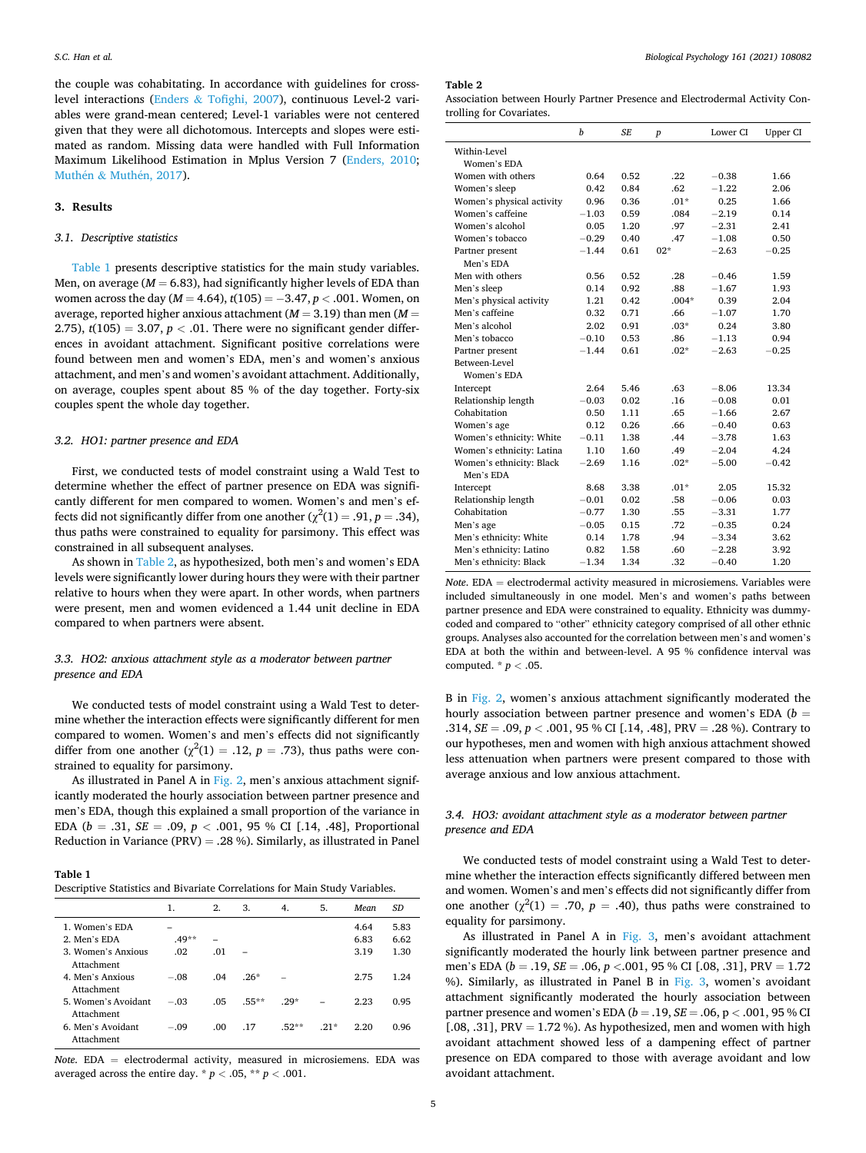the couple was cohabitating. In accordance with guidelines for crosslevel interactions (Enders & [Tofighi, 2007](#page-7-0)), continuous Level-2 variables were grand-mean centered; Level-1 variables were not centered given that they were all dichotomous. Intercepts and slopes were estimated as random. Missing data were handled with Full Information Maximum Likelihood Estimation in Mplus Version 7 ([Enders, 2010](#page-6-0); Muthén & Muthén, 2017).

## **3. Results**

## *3.1. Descriptive statistics*

Table 1 presents descriptive statistics for the main study variables. Men, on average  $(M = 6.83)$ , had significantly higher levels of EDA than women across the day (*M* = 4.64), *t*(105) = − 3.47, *p <* .001. Women, on average, reported higher anxious attachment (*M* = 3.19) than men (*M* = 2.75),  $t(105) = 3.07$ ,  $p < .01$ . There were no significant gender differences in avoidant attachment. Significant positive correlations were found between men and women's EDA, men's and women's anxious attachment, and men's and women's avoidant attachment. Additionally, on average, couples spent about 85 % of the day together. Forty-six couples spent the whole day together.

## *3.2. HO1: partner presence and EDA*

First, we conducted tests of model constraint using a Wald Test to determine whether the effect of partner presence on EDA was significantly different for men compared to women. Women's and men's effects did not significantly differ from one another ( $\chi^2(1) = .91, p = .34$ ), thus paths were constrained to equality for parsimony. This effect was constrained in all subsequent analyses.

As shown in Table 2, as hypothesized, both men's and women's EDA levels were significantly lower during hours they were with their partner relative to hours when they were apart. In other words, when partners were present, men and women evidenced a 1.44 unit decline in EDA compared to when partners were absent.

# *3.3. HO2: anxious attachment style as a moderator between partner presence and EDA*

We conducted tests of model constraint using a Wald Test to determine whether the interaction effects were significantly different for men compared to women. Women's and men's effects did not significantly differ from one another  $(\chi^2(1) = .12, p = .73)$ , thus paths were constrained to equality for parsimony.

As illustrated in Panel A in [Fig. 2](#page-5-0), men's anxious attachment significantly moderated the hourly association between partner presence and men's EDA, though this explained a small proportion of the variance in EDA (*b* = .31, *SE* = .09, *p <* .001, 95 % CI [.14, .48], Proportional Reduction in Variance (PRV) = .28 %). Similarly, as illustrated in Panel

|  | D |  |
|--|---|--|
|--|---|--|

| Descriptive Statistics and Bivariate Correlations for Main Study Variables. |  |  |  |
|-----------------------------------------------------------------------------|--|--|--|
|-----------------------------------------------------------------------------|--|--|--|

|                                   | 1.      | 2.   | 3.       | 4.      | 5.     | Mean | SD   |
|-----------------------------------|---------|------|----------|---------|--------|------|------|
| 1. Women's EDA                    |         |      |          |         |        | 4.64 | 5.83 |
| 2. Men's EDA                      | $.49**$ |      |          |         |        | 6.83 | 6.62 |
| 3. Women's Anxious<br>Attachment  | .02     | .01  |          |         |        | 3.19 | 1.30 |
| 4. Men's Anxious<br>Attachment    | $-.08$  | .04  | $.26*$   |         |        | 2.75 | 1.24 |
| 5. Women's Avoidant<br>Attachment | $-.03$  | .05  | $.55***$ | $29*$   |        | 2.23 | 0.95 |
| 6. Men's Avoidant<br>Attachment   | $-.09$  | .00. | .17      | $.52**$ | $.21*$ | 2.20 | 0.96 |

*Note*. EDA = electrodermal activity, measured in microsiemens. EDA was averaged across the entire day.  $* p < .05, ** p < .001$ .

**Table 2** 

Association between Hourly Partner Presence and Electrodermal Activity Controlling for Covariates.

|                           | $\boldsymbol{h}$ | <b>SE</b> | $\boldsymbol{p}$ | Lower CI | Upper CI |
|---------------------------|------------------|-----------|------------------|----------|----------|
| Within-Level              |                  |           |                  |          |          |
| Women's EDA               |                  |           |                  |          |          |
| Women with others         | 0.64             | 0.52      | .22              | $-0.38$  | 1.66     |
| Women's sleep             | 0.42             | 0.84      | .62              | $-1.22$  | 2.06     |
| Women's physical activity | 0.96             | 0.36      | $.01*$           | 0.25     | 1.66     |
| Women's caffeine          | $-1.03$          | 0.59      | .084             | $-2.19$  | 0.14     |
| Women's alcohol           | 0.05             | 1.20      | .97              | $-2.31$  | 2.41     |
| Women's tobacco           | $-0.29$          | 0.40      | .47              | $-1.08$  | 0.50     |
| Partner present           | $-1.44$          | 0.61      | $02*$            | $-2.63$  | $-0.25$  |
| Men's EDA                 |                  |           |                  |          |          |
| Men with others           | 0.56             | 0.52      | .28              | $-0.46$  | 1.59     |
| Men's sleep               | 0.14             | 0.92      | .88              | $-1.67$  | 1.93     |
| Men's physical activity   | 1.21             | 0.42      | $.004*$          | 0.39     | 2.04     |
| Men's caffeine            | 0.32             | 0.71      | .66              | $-1.07$  | 1.70     |
| Men's alcohol             | 2.02             | 0.91      | $.03*$           | 0.24     | 3.80     |
| Men's tobacco             | $-0.10$          | 0.53      | .86              | $-1.13$  | 0.94     |
| Partner present           | $-1.44$          | 0.61      | $.02*$           | $-2.63$  | $-0.25$  |
| Between-Level             |                  |           |                  |          |          |
| Women's EDA               |                  |           |                  |          |          |
| Intercept                 | 2.64             | 5.46      | .63              | $-8.06$  | 13.34    |
| Relationship length       | $-0.03$          | 0.02      | .16              | $-0.08$  | 0.01     |
| Cohabitation              | 0.50             | 1.11      | .65              | $-1.66$  | 2.67     |
| Women's age               | 0.12             | 0.26      | .66              | $-0.40$  | 0.63     |
| Women's ethnicity: White  | $-0.11$          | 1.38      | .44              | $-3.78$  | 1.63     |
| Women's ethnicity: Latina | 1.10             | 1.60      | .49              | $-2.04$  | 4.24     |
| Women's ethnicity: Black  | $-2.69$          | 1.16      | $.02*$           | $-5.00$  | $-0.42$  |
| Men's EDA                 |                  |           |                  |          |          |
| Intercept                 | 8.68             | 3.38      | $.01*$           | 2.05     | 15.32    |
| Relationship length       | $-0.01$          | 0.02      | .58              | $-0.06$  | 0.03     |
| Cohabitation              | $-0.77$          | 1.30      | .55              | $-3.31$  | 1.77     |
| Men's age                 | $-0.05$          | 0.15      | .72              | $-0.35$  | 0.24     |
| Men's ethnicity: White    | 0.14             | 1.78      | .94              | $-3.34$  | 3.62     |
| Men's ethnicity: Latino   | 0.82             | 1.58      | .60              | $-2.28$  | 3.92     |
| Men's ethnicity: Black    | $-1.34$          | 1.34      | .32              | $-0.40$  | 1.20     |

*Note*. EDA = electrodermal activity measured in microsiemens. Variables were included simultaneously in one model. Men's and women's paths between partner presence and EDA were constrained to equality. Ethnicity was dummycoded and compared to "other" ethnicity category comprised of all other ethnic groups. Analyses also accounted for the correlation between men's and women's EDA at both the within and between-level. A 95 % confidence interval was computed. \* *p <* .05.

B in [Fig. 2,](#page-5-0) women's anxious attachment significantly moderated the hourly association between partner presence and women's EDA (*b* = .314, *SE* = .09, *p <* .001, 95 % CI [.14, .48], PRV = .28 %). Contrary to our hypotheses, men and women with high anxious attachment showed less attenuation when partners were present compared to those with average anxious and low anxious attachment.

## *3.4. HO3: avoidant attachment style as a moderator between partner presence and EDA*

We conducted tests of model constraint using a Wald Test to determine whether the interaction effects significantly differed between men and women. Women's and men's effects did not significantly differ from one another  $(\chi^2(1) = .70, p = .40)$ , thus paths were constrained to equality for parsimony.

As illustrated in Panel A in [Fig. 3](#page-5-0), men's avoidant attachment significantly moderated the hourly link between partner presence and men's EDA (*b* = .19, *SE* = .06, *p <*.001, 95 % CI [.08, .31], PRV = 1.72 %). Similarly, as illustrated in Panel B in [Fig. 3,](#page-5-0) women's avoidant attachment significantly moderated the hourly association between partner presence and women's EDA (*b* = .19, *SE* = .06, p *<* .001, 95 % CI [.08, .31],  $PRV = 1.72$ %). As hypothesized, men and women with high avoidant attachment showed less of a dampening effect of partner presence on EDA compared to those with average avoidant and low avoidant attachment.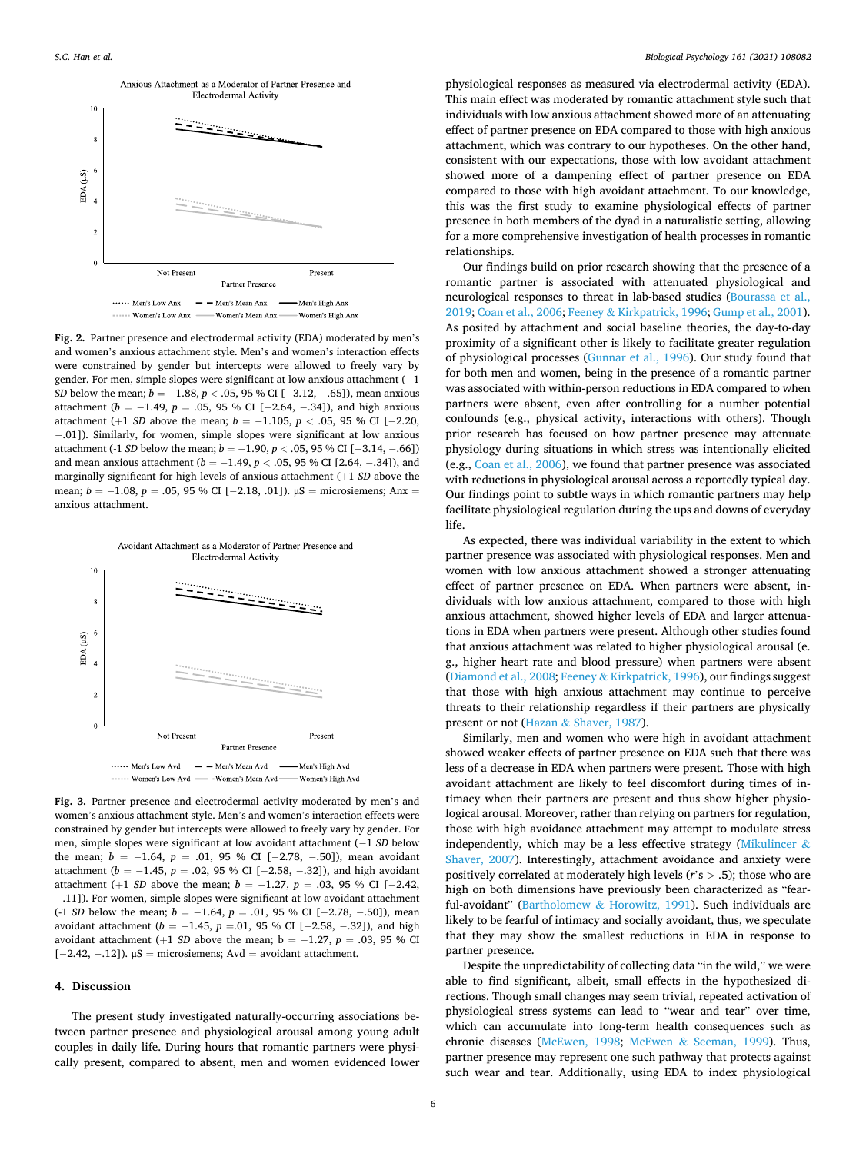<span id="page-5-0"></span>

**Fig. 2.** Partner presence and electrodermal activity (EDA) moderated by men's and women's anxious attachment style. Men's and women's interaction effects were constrained by gender but intercepts were allowed to freely vary by gender. For men, simple slopes were significant at low anxious attachment  $(-1)$ *SD* below the mean; *b* = −1.88, *p* < .05, 95 % CI [−3.12, −.65]), mean anxious attachment ( $b = -1.49$ ,  $p = .05$ , 95 % CI [-2.64, -.34]), and high anxious attachment (+1 *SD* above the mean; *b* = −1.105, *p* < .05, 95 % CI [−2.20, − .01]). Similarly, for women, simple slopes were significant at low anxious attachment (-1 *SD* below the mean; *b* = − 1.90, *p <* .05, 95 % CI [− 3.14, − .66]) and mean anxious attachment (*b* = − 1.49, *p <* .05, 95 % CI [2.64, − .34]), and marginally significant for high levels of anxious attachment (+1 *SD* above the mean; *b* = −1.08, *p* = .05, 95 % CI [−2.18, .01]).  $\mu$ S = microsiemens; Anx = anxious attachment.



**Fig. 3.** Partner presence and electrodermal activity moderated by men's and women's anxious attachment style. Men's and women's interaction effects were constrained by gender but intercepts were allowed to freely vary by gender. For men, simple slopes were significant at low avoidant attachment (− 1 *SD* below the mean; *b* = −1.64, *p* = .01, 95 % CI [−2.78, −.50]), mean avoidant attachment (*b* = − 1.45, *p* = .02, 95 % CI [− 2.58, − .32]), and high avoidant attachment (+1 *SD* above the mean; *b* = − 1.27, *p* = .03, 95 % CI [− 2.42, − .11]). For women, simple slopes were significant at low avoidant attachment (-1 *SD* below the mean; *b* = − 1.64, *p* = .01, 95 % CI [− 2.78, − .50]), mean avoidant attachment (*b* = −1.45, *p* =.01, 95 % CI [−2.58, −.32]), and high avoidant attachment (+1 *SD* above the mean;  $b = -1.27$ ,  $p = .03$ , 95 % CI [ $-2.42, -0.12$ ]).  $\mu$ S = microsiemens; Avd = avoidant attachment.

## **4. Discussion**

The present study investigated naturally-occurring associations between partner presence and physiological arousal among young adult couples in daily life. During hours that romantic partners were physically present, compared to absent, men and women evidenced lower

physiological responses as measured via electrodermal activity (EDA). This main effect was moderated by romantic attachment style such that individuals with low anxious attachment showed more of an attenuating effect of partner presence on EDA compared to those with high anxious attachment, which was contrary to our hypotheses. On the other hand, consistent with our expectations, those with low avoidant attachment showed more of a dampening effect of partner presence on EDA compared to those with high avoidant attachment. To our knowledge, this was the first study to examine physiological effects of partner presence in both members of the dyad in a naturalistic setting, allowing for a more comprehensive investigation of health processes in romantic relationships.

Our findings build on prior research showing that the presence of a romantic partner is associated with attenuated physiological and neurological responses to threat in lab-based studies ([Bourassa et al.,](#page-6-0)  [2019; Coan et al., 2006;](#page-6-0) Feeney & [Kirkpatrick, 1996; Gump et al., 2001](#page-7-0)). As posited by attachment and social baseline theories, the day-to-day proximity of a significant other is likely to facilitate greater regulation of physiological processes [\(Gunnar et al., 1996](#page-7-0)). Our study found that for both men and women, being in the presence of a romantic partner was associated with within-person reductions in EDA compared to when partners were absent, even after controlling for a number potential confounds (e.g., physical activity, interactions with others). Though prior research has focused on how partner presence may attenuate physiology during situations in which stress was intentionally elicited (e.g., [Coan et al., 2006](#page-6-0)), we found that partner presence was associated with reductions in physiological arousal across a reportedly typical day. Our findings point to subtle ways in which romantic partners may help facilitate physiological regulation during the ups and downs of everyday life.

As expected, there was individual variability in the extent to which partner presence was associated with physiological responses. Men and women with low anxious attachment showed a stronger attenuating effect of partner presence on EDA. When partners were absent, individuals with low anxious attachment, compared to those with high anxious attachment, showed higher levels of EDA and larger attenuations in EDA when partners were present. Although other studies found that anxious attachment was related to higher physiological arousal (e. g., higher heart rate and blood pressure) when partners were absent ([Diamond et al., 2008](#page-6-0); Feeney & [Kirkpatrick, 1996](#page-7-0)), our findings suggest that those with high anxious attachment may continue to perceive threats to their relationship regardless if their partners are physically present or not (Hazan & [Shaver, 1987](#page-7-0)).

Similarly, men and women who were high in avoidant attachment showed weaker effects of partner presence on EDA such that there was less of a decrease in EDA when partners were present. Those with high avoidant attachment are likely to feel discomfort during times of intimacy when their partners are present and thus show higher physiological arousal. Moreover, rather than relying on partners for regulation, those with high avoidance attachment may attempt to modulate stress independently, which may be a less effective strategy ([Mikulincer](#page-7-0)  $\&$ [Shaver, 2007](#page-7-0)). Interestingly, attachment avoidance and anxiety were positively correlated at moderately high levels (*r*'s *>* .5); those who are high on both dimensions have previously been characterized as "fearful-avoidant" (Bartholomew & [Horowitz, 1991](#page-6-0)). Such individuals are likely to be fearful of intimacy and socially avoidant, thus, we speculate that they may show the smallest reductions in EDA in response to partner presence.

Despite the unpredictability of collecting data "in the wild," we were able to find significant, albeit, small effects in the hypothesized directions. Though small changes may seem trivial, repeated activation of physiological stress systems can lead to "wear and tear" over time, which can accumulate into long-term health consequences such as chronic diseases [\(McEwen, 1998;](#page-7-0) McEwen & [Seeman, 1999](#page-7-0)). Thus, partner presence may represent one such pathway that protects against such wear and tear. Additionally, using EDA to index physiological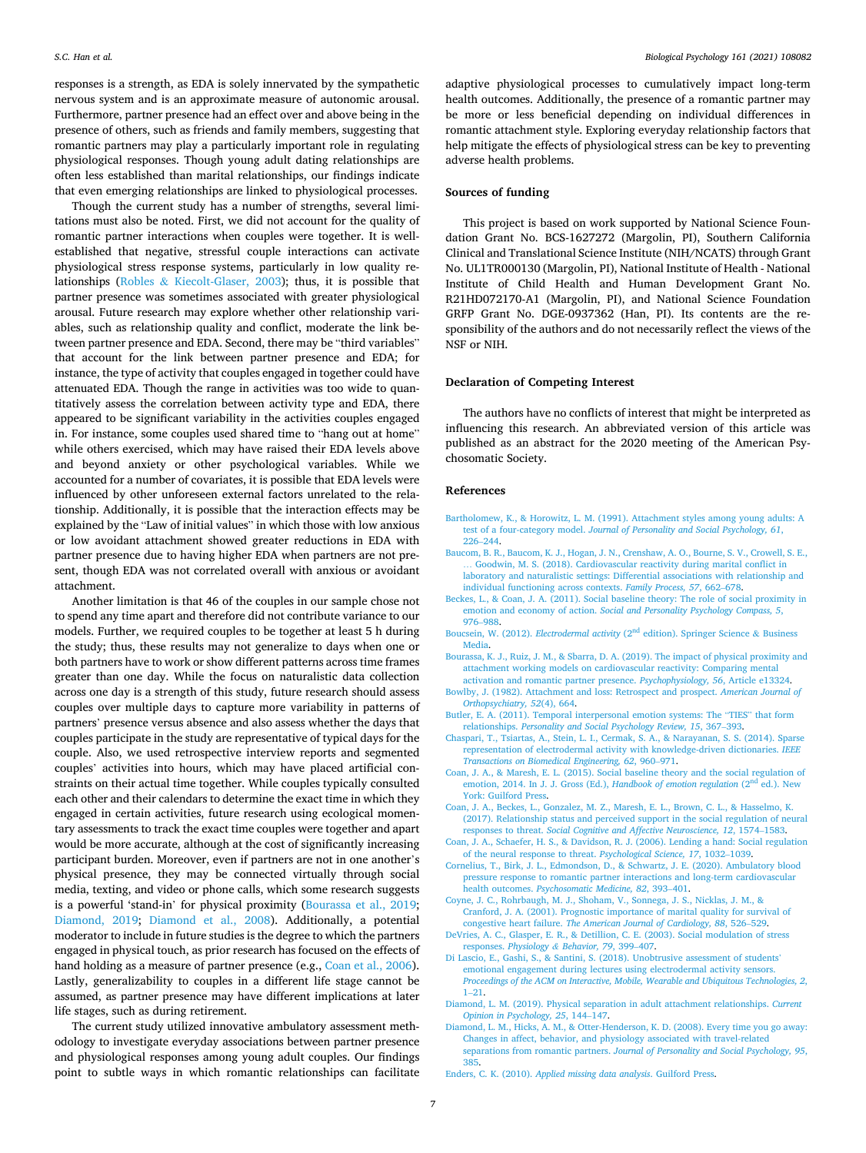<span id="page-6-0"></span>responses is a strength, as EDA is solely innervated by the sympathetic nervous system and is an approximate measure of autonomic arousal. Furthermore, partner presence had an effect over and above being in the presence of others, such as friends and family members, suggesting that romantic partners may play a particularly important role in regulating physiological responses. Though young adult dating relationships are often less established than marital relationships, our findings indicate that even emerging relationships are linked to physiological processes.

Though the current study has a number of strengths, several limitations must also be noted. First, we did not account for the quality of romantic partner interactions when couples were together. It is wellestablished that negative, stressful couple interactions can activate physiological stress response systems, particularly in low quality relationships (Robles & [Kiecolt-Glaser, 2003\)](#page-7-0); thus, it is possible that partner presence was sometimes associated with greater physiological arousal. Future research may explore whether other relationship variables, such as relationship quality and conflict, moderate the link between partner presence and EDA. Second, there may be "third variables" that account for the link between partner presence and EDA; for instance, the type of activity that couples engaged in together could have attenuated EDA. Though the range in activities was too wide to quantitatively assess the correlation between activity type and EDA, there appeared to be significant variability in the activities couples engaged in. For instance, some couples used shared time to "hang out at home" while others exercised, which may have raised their EDA levels above and beyond anxiety or other psychological variables. While we accounted for a number of covariates, it is possible that EDA levels were influenced by other unforeseen external factors unrelated to the relationship. Additionally, it is possible that the interaction effects may be explained by the "Law of initial values" in which those with low anxious or low avoidant attachment showed greater reductions in EDA with partner presence due to having higher EDA when partners are not present, though EDA was not correlated overall with anxious or avoidant attachment.

Another limitation is that 46 of the couples in our sample chose not to spend any time apart and therefore did not contribute variance to our models. Further, we required couples to be together at least 5 h during the study; thus, these results may not generalize to days when one or both partners have to work or show different patterns across time frames greater than one day. While the focus on naturalistic data collection across one day is a strength of this study, future research should assess couples over multiple days to capture more variability in patterns of partners' presence versus absence and also assess whether the days that couples participate in the study are representative of typical days for the couple. Also, we used retrospective interview reports and segmented couples' activities into hours, which may have placed artificial constraints on their actual time together. While couples typically consulted each other and their calendars to determine the exact time in which they engaged in certain activities, future research using ecological momentary assessments to track the exact time couples were together and apart would be more accurate, although at the cost of significantly increasing participant burden. Moreover, even if partners are not in one another's physical presence, they may be connected virtually through social media, texting, and video or phone calls, which some research suggests is a powerful 'stand-in' for physical proximity (Bourassa et al., 2019; Diamond, 2019; Diamond et al., 2008). Additionally, a potential moderator to include in future studies is the degree to which the partners engaged in physical touch, as prior research has focused on the effects of hand holding as a measure of partner presence (e.g., Coan et al., 2006). Lastly, generalizability to couples in a different life stage cannot be assumed, as partner presence may have different implications at later life stages, such as during retirement.

The current study utilized innovative ambulatory assessment methodology to investigate everyday associations between partner presence and physiological responses among young adult couples. Our findings point to subtle ways in which romantic relationships can facilitate adaptive physiological processes to cumulatively impact long-term health outcomes. Additionally, the presence of a romantic partner may be more or less beneficial depending on individual differences in romantic attachment style. Exploring everyday relationship factors that help mitigate the effects of physiological stress can be key to preventing adverse health problems.

## **Sources of funding**

This project is based on work supported by National Science Foundation Grant No. BCS-1627272 (Margolin, PI), Southern California Clinical and Translational Science Institute (NIH/NCATS) through Grant No. UL1TR000130 (Margolin, PI), National Institute of Health - National Institute of Child Health and Human Development Grant No. R21HD072170-A1 (Margolin, PI), and National Science Foundation GRFP Grant No. DGE-0937362 (Han, PI). Its contents are the responsibility of the authors and do not necessarily reflect the views of the NSF or NIH.

#### **Declaration of Competing Interest**

The authors have no conflicts of interest that might be interpreted as influencing this research. An abbreviated version of this article was published as an abstract for the 2020 meeting of the American Psychosomatic Society.

#### **References**

- [Bartholomew, K., & Horowitz, L. M. \(1991\). Attachment styles among young adults: A](http://refhub.elsevier.com/S0301-0511(21)00075-2/sbref0005) test of a four-category model. *[Journal of Personality and Social Psychology, 61](http://refhub.elsevier.com/S0301-0511(21)00075-2/sbref0005)*, 226–[244](http://refhub.elsevier.com/S0301-0511(21)00075-2/sbref0005).
- [Baucom, B. R., Baucom, K. J., Hogan, J. N., Crenshaw, A. O., Bourne, S. V., Crowell, S. E.,](http://refhub.elsevier.com/S0301-0511(21)00075-2/sbref0010)  … [Goodwin, M. S. \(2018\). Cardiovascular reactivity during marital conflict in](http://refhub.elsevier.com/S0301-0511(21)00075-2/sbref0010) [laboratory and naturalistic settings: Differential associations with relationship and](http://refhub.elsevier.com/S0301-0511(21)00075-2/sbref0010) [individual functioning across contexts.](http://refhub.elsevier.com/S0301-0511(21)00075-2/sbref0010) *Family Process, 57*, 662–678.
- [Beckes, L., & Coan, J. A. \(2011\). Social baseline theory: The role of social proximity in](http://refhub.elsevier.com/S0301-0511(21)00075-2/sbref0015)  emotion and economy of action. *[Social and Personality Psychology Compass, 5](http://refhub.elsevier.com/S0301-0511(21)00075-2/sbref0015)*, 976–[988](http://refhub.elsevier.com/S0301-0511(21)00075-2/sbref0015).
- Boucsein, W. (2012). *Electrodermal activity* (2<sup>nd</sup> edition). Springer Science & Business [Media](http://refhub.elsevier.com/S0301-0511(21)00075-2/sbref0020).
- [Bourassa, K. J., Ruiz, J. M., & Sbarra, D. A. \(2019\). The impact of physical proximity and](http://refhub.elsevier.com/S0301-0511(21)00075-2/sbref0025)  [attachment working models on cardiovascular reactivity: Comparing mental](http://refhub.elsevier.com/S0301-0511(21)00075-2/sbref0025)
- [activation and romantic partner presence.](http://refhub.elsevier.com/S0301-0511(21)00075-2/sbref0025) *Psychophysiology, 56*, Article e13324. [Bowlby, J. \(1982\). Attachment and loss: Retrospect and prospect.](http://refhub.elsevier.com/S0301-0511(21)00075-2/sbref0030) *American Journal of [Orthopsychiatry, 52](http://refhub.elsevier.com/S0301-0511(21)00075-2/sbref0030)*(4), 664.
- [Butler, E. A. \(2011\). Temporal interpersonal emotion systems: The](http://refhub.elsevier.com/S0301-0511(21)00075-2/sbref0035) "TIES" that form relationships. *[Personality and Social Psychology Review, 15](http://refhub.elsevier.com/S0301-0511(21)00075-2/sbref0035)*, 367–393.
- [Chaspari, T., Tsiartas, A., Stein, L. I., Cermak, S. A., & Narayanan, S. S. \(2014\). Sparse](http://refhub.elsevier.com/S0301-0511(21)00075-2/sbref0040)  [representation of electrodermal activity with knowledge-driven dictionaries.](http://refhub.elsevier.com/S0301-0511(21)00075-2/sbref0040) *IEEE [Transactions on Biomedical Engineering, 62](http://refhub.elsevier.com/S0301-0511(21)00075-2/sbref0040)*, 960–971.
- [Coan, J. A., & Maresh, E. L. \(2015\). Social baseline theory and the social regulation of](http://refhub.elsevier.com/S0301-0511(21)00075-2/sbref0045)  [emotion, 2014. In J. J. Gross \(Ed.\),](http://refhub.elsevier.com/S0301-0511(21)00075-2/sbref0045) *Handbook of emotion regulation* (2<sup>nd</sup> ed.). New [York: Guilford Press.](http://refhub.elsevier.com/S0301-0511(21)00075-2/sbref0045)
- [Coan, J. A., Beckes, L., Gonzalez, M. Z., Maresh, E. L., Brown, C. L., & Hasselmo, K.](http://refhub.elsevier.com/S0301-0511(21)00075-2/sbref0050) [\(2017\). Relationship status and perceived support in the social regulation of neural](http://refhub.elsevier.com/S0301-0511(21)00075-2/sbref0050)  responses to threat. *[Social Cognitive and Affective Neuroscience, 12](http://refhub.elsevier.com/S0301-0511(21)00075-2/sbref0050)*, 1574–1583.
- [Coan, J. A., Schaefer, H. S., & Davidson, R. J. \(2006\). Lending a hand: Social regulation](http://refhub.elsevier.com/S0301-0511(21)00075-2/sbref0055)  [of the neural response to threat.](http://refhub.elsevier.com/S0301-0511(21)00075-2/sbref0055) *Psychological Science, 17*, 1032–1039.
- [Cornelius, T., Birk, J. L., Edmondson, D., & Schwartz, J. E. \(2020\). Ambulatory blood](http://refhub.elsevier.com/S0301-0511(21)00075-2/sbref0060) [pressure response to romantic partner interactions and long-term cardiovascular](http://refhub.elsevier.com/S0301-0511(21)00075-2/sbref0060)  health outcomes. *[Psychosomatic Medicine, 82](http://refhub.elsevier.com/S0301-0511(21)00075-2/sbref0060)*, 393–401.
- [Coyne, J. C., Rohrbaugh, M. J., Shoham, V., Sonnega, J. S., Nicklas, J. M., &](http://refhub.elsevier.com/S0301-0511(21)00075-2/sbref0065)  [Cranford, J. A. \(2001\). Prognostic importance of marital quality for survival of](http://refhub.elsevier.com/S0301-0511(21)00075-2/sbref0065) congestive heart failure. *[The American Journal of Cardiology, 88](http://refhub.elsevier.com/S0301-0511(21)00075-2/sbref0065)*, 526–529.
- [DeVries, A. C., Glasper, E. R., & Detillion, C. E. \(2003\). Social modulation of stress](http://refhub.elsevier.com/S0301-0511(21)00075-2/sbref0070) responses. *Physiology & [Behavior, 79](http://refhub.elsevier.com/S0301-0511(21)00075-2/sbref0070)*, 399–407.
- [Di Lascio, E., Gashi, S., & Santini, S. \(2018\). Unobtrusive assessment of students](http://refhub.elsevier.com/S0301-0511(21)00075-2/sbref0075)' [emotional engagement during lectures using electrodermal activity sensors.](http://refhub.elsevier.com/S0301-0511(21)00075-2/sbref0075)  *[Proceedings of the ACM on Interactive, Mobile, Wearable and Ubiquitous Technologies, 2](http://refhub.elsevier.com/S0301-0511(21)00075-2/sbref0075)*, 1–[21.](http://refhub.elsevier.com/S0301-0511(21)00075-2/sbref0075)
- [Diamond, L. M. \(2019\). Physical separation in adult attachment relationships.](http://refhub.elsevier.com/S0301-0511(21)00075-2/sbref0080) *Current [Opinion in Psychology, 25](http://refhub.elsevier.com/S0301-0511(21)00075-2/sbref0080)*, 144–147.
- [Diamond, L. M., Hicks, A. M., & Otter-Henderson, K. D. \(2008\). Every time you go away:](http://refhub.elsevier.com/S0301-0511(21)00075-2/sbref0085)  [Changes in affect, behavior, and physiology associated with travel-related](http://refhub.elsevier.com/S0301-0511(21)00075-2/sbref0085) separations from romantic partners. *[Journal of Personality and Social Psychology, 95](http://refhub.elsevier.com/S0301-0511(21)00075-2/sbref0085)*, [385](http://refhub.elsevier.com/S0301-0511(21)00075-2/sbref0085).
- Enders, C. K. (2010). *[Applied missing data analysis](http://refhub.elsevier.com/S0301-0511(21)00075-2/sbref0090)*. Guilford Press.